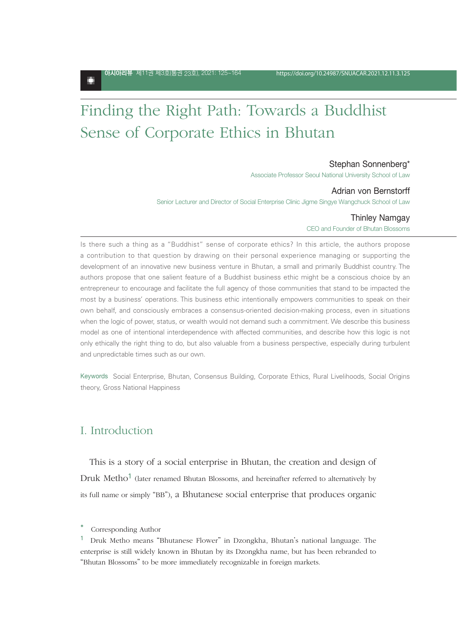о

# Finding the Right Path: Towards a Buddhist Sense of Corporate Ethics in Bhutan

### Stephan Sonnenberg\*

Associate Professor Seoul National University School of Law

#### Adrian von Bernstorff

Senior Lecturer and Director of Social Enterprise Clinic Jigme Singye Wangchuck School of Law

#### Thinley Namgay

CEO and Founder of Bhutan Blossoms

Is there such a thing as a "Buddhist" sense of corporate ethics? In this article, the authors propose a contribution to that question by drawing on their personal experience managing or supporting the development of an innovative new business venture in Bhutan, a small and primarily Buddhist country. The authors propose that one salient feature of a Buddhist business ethic might be a conscious choice by an entrepreneur to encourage and facilitate the full agency of those communities that stand to be impacted the most by a business' operations. This business ethic intentionally empowers communities to speak on their own behalf, and consciously embraces a consensus-oriented decision-making process, even in situations when the logic of power, status, or wealth would not demand such a commitment. We describe this business model as one of intentional interdependence with affected communities, and describe how this logic is not only ethically the right thing to do, but also valuable from a business perspective, especially during turbulent and unpredictable times such as our own.

Keywords Social Enterprise, Bhutan, Consensus Building, Corporate Ethics, Rural Livelihoods, Social Origins theory, Gross National Happiness

# I. Introduction

This is a story of a social enterprise in Bhutan, the creation and design of Druk Metho<sup>1</sup> (later renamed Bhutan Blossoms, and hereinafter referred to alternatively by its full name or simply "BB"), a Bhutanese social enterprise that produces organic

Corresponding Author

<sup>1</sup> Druk Metho means "Bhutanese Flower" in Dzongkha, Bhutan's national language. The enterprise is still widely known in Bhutan by its Dzongkha name, but has been rebranded to "Bhutan Blossoms" to be more immediately recognizable in foreign markets.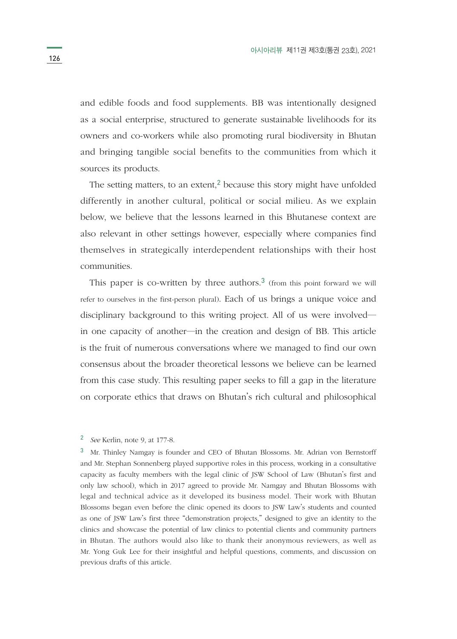and edible foods and food supplements. BB was intentionally designed as a social enterprise, structured to generate sustainable livelihoods for its owners and co-workers while also promoting rural biodiversity in Bhutan and bringing tangible social benefits to the communities from which it sources its products.

The setting matters, to an extent,<sup>2</sup> because this story might have unfolded differently in another cultural, political or social milieu. As we explain below, we believe that the lessons learned in this Bhutanese context are also relevant in other settings however, especially where companies find themselves in strategically interdependent relationships with their host communities.

This paper is co-written by three authors.<sup>3</sup> (from this point forward we will refer to ourselves in the first-person plural). Each of us brings a unique voice and disciplinary background to this writing project. All of us were involved― in one capacity of another―in the creation and design of BB. This article is the fruit of numerous conversations where we managed to find our own consensus about the broader theoretical lessons we believe can be learned from this case study. This resulting paper seeks to fill a gap in the literature on corporate ethics that draws on Bhutan's rich cultural and philosophical

### <sup>2</sup> *See* Kerlin, note 9, at 177-8.

<sup>3</sup> Mr. Thinley Namgay is founder and CEO of Bhutan Blossoms. Mr. Adrian von Bernstorff and Mr. Stephan Sonnenberg played supportive roles in this process, working in a consultative capacity as faculty members with the legal clinic of JSW School of Law (Bhutan's first and only law school), which in 2017 agreed to provide Mr. Namgay and Bhutan Blossoms with legal and technical advice as it developed its business model. Their work with Bhutan Blossoms began even before the clinic opened its doors to JSW Law's students and counted as one of JSW Law's first three "demonstration projects," designed to give an identity to the clinics and showcase the potential of law clinics to potential clients and community partners in Bhutan. The authors would also like to thank their anonymous reviewers, as well as Mr. Yong Guk Lee for their insightful and helpful questions, comments, and discussion on previous drafts of this article.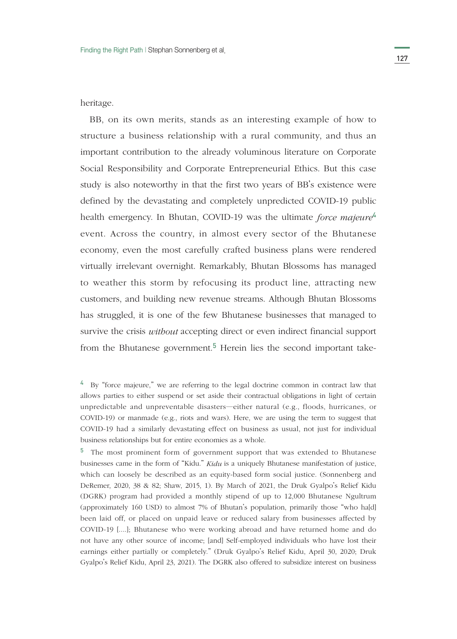heritage.

BB, on its own merits, stands as an interesting example of how to structure a business relationship with a rural community, and thus an important contribution to the already voluminous literature on Corporate Social Responsibility and Corporate Entrepreneurial Ethics. But this case study is also noteworthy in that the first two years of BB's existence were defined by the devastating and completely unpredicted COVID-19 public health emergency. In Bhutan, COVID-19 was the ultimate *force majeure*<sup>4</sup> event. Across the country, in almost every sector of the Bhutanese economy, even the most carefully crafted business plans were rendered virtually irrelevant overnight. Remarkably, Bhutan Blossoms has managed to weather this storm by refocusing its product line, attracting new customers, and building new revenue streams. Although Bhutan Blossoms has struggled, it is one of the few Bhutanese businesses that managed to survive the crisis *without* accepting direct or even indirect financial support from the Bhutanese government.<sup>5</sup> Herein lies the second important take-

<sup>&</sup>lt;sup>4</sup> By "force majeure," we are referring to the legal doctrine common in contract law that allows parties to either suspend or set aside their contractual obligations in light of certain unpredictable and unpreventable disasters―either natural (e.g., floods, hurricanes, or COVID-19) or manmade (e.g., riots and wars). Here, we are using the term to suggest that COVID-19 had a similarly devastating effect on business as usual, not just for individual business relationships but for entire economies as a whole.

<sup>&</sup>lt;sup>5</sup> The most prominent form of government support that was extended to Bhutanese businesses came in the form of "Kidu." *Kidu* is a uniquely Bhutanese manifestation of justice, which can loosely be described as an equity-based form social justice. (Sonnenberg and DeRemer, 2020, 38 & 82; Shaw, 2015, 1). By March of 2021, the Druk Gyalpo's Relief Kidu (DGRK) program had provided a monthly stipend of up to 12,000 Bhutanese Ngultrum (approximately 160 USD) to almost 7% of Bhutan's population, primarily those "who ha[d] been laid off, or placed on unpaid leave or reduced salary from businesses affected by COVID-19 [....]; Bhutanese who were working abroad and have returned home and do not have any other source of income; [and] Self-employed individuals who have lost their earnings either partially or completely." (Druk Gyalpo's Relief Kidu, April 30, 2020; Druk Gyalpo's Relief Kidu, April 23, 2021). The DGRK also offered to subsidize interest on business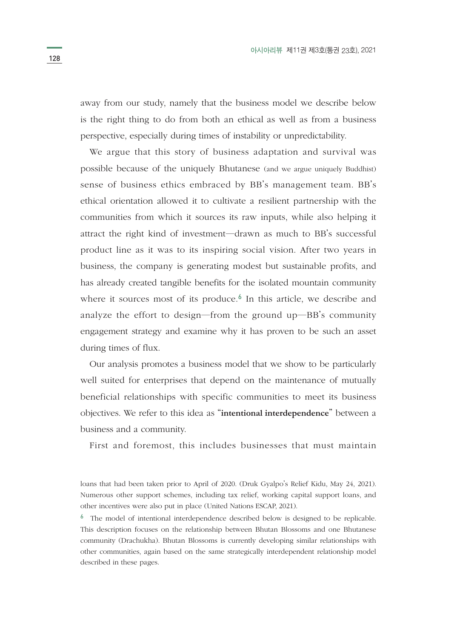away from our study, namely that the business model we describe below is the right thing to do from both an ethical as well as from a business perspective, especially during times of instability or unpredictability.

We argue that this story of business adaptation and survival was possible because of the uniquely Bhutanese (and we argue uniquely Buddhist) sense of business ethics embraced by BB's management team. BB's ethical orientation allowed it to cultivate a resilient partnership with the communities from which it sources its raw inputs, while also helping it attract the right kind of investment―drawn as much to BB's successful product line as it was to its inspiring social vision. After two years in business, the company is generating modest but sustainable profits, and has already created tangible benefits for the isolated mountain community where it sources most of its produce.<sup>6</sup> In this article, we describe and analyze the effort to design―from the ground up―BB's community engagement strategy and examine why it has proven to be such an asset during times of flux.

Our analysis promotes a business model that we show to be particularly well suited for enterprises that depend on the maintenance of mutually beneficial relationships with specific communities to meet its business objectives. We refer to this idea as "**intentional interdependence**" between a business and a community.

First and foremost, this includes businesses that must maintain

loans that had been taken prior to April of 2020. (Druk Gyalpo's Relief Kidu, May 24, 2021). Numerous other support schemes, including tax relief, working capital support loans, and other incentives were also put in place (United Nations ESCAP, 2021).

<sup>&</sup>lt;sup>6</sup> The model of intentional interdependence described below is designed to be replicable. This description focuses on the relationship between Bhutan Blossoms and one Bhutanese community (Drachukha). Bhutan Blossoms is currently developing similar relationships with other communities, again based on the same strategically interdependent relationship model described in these pages.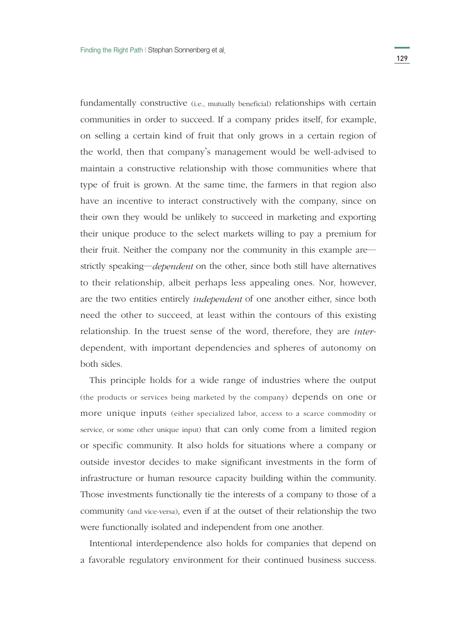fundamentally constructive (i.e., mutually beneficial) relationships with certain communities in order to succeed. If a company prides itself, for example, on selling a certain kind of fruit that only grows in a certain region of the world, then that company's management would be well-advised to maintain a constructive relationship with those communities where that type of fruit is grown. At the same time, the farmers in that region also have an incentive to interact constructively with the company, since on their own they would be unlikely to succeed in marketing and exporting their unique produce to the select markets willing to pay a premium for their fruit. Neither the company nor the community in this example are― strictly speaking―*dependent* on the other, since both still have alternatives to their relationship, albeit perhaps less appealing ones. Nor, however, are the two entities entirely *independent* of one another either, since both need the other to succeed, at least within the contours of this existing relationship. In the truest sense of the word, therefore, they are *inter*dependent, with important dependencies and spheres of autonomy on both sides.

This principle holds for a wide range of industries where the output (the products or services being marketed by the company) depends on one or more unique inputs (either specialized labor, access to a scarce commodity or service, or some other unique input) that can only come from a limited region or specific community. It also holds for situations where a company or outside investor decides to make significant investments in the form of infrastructure or human resource capacity building within the community. Those investments functionally tie the interests of a company to those of a community (and vice-versa), even if at the outset of their relationship the two were functionally isolated and independent from one another.

Intentional interdependence also holds for companies that depend on a favorable regulatory environment for their continued business success.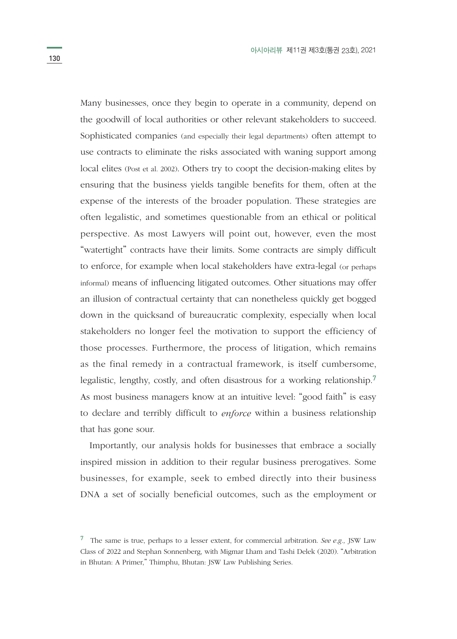Many businesses, once they begin to operate in a community, depend on the goodwill of local authorities or other relevant stakeholders to succeed. Sophisticated companies (and especially their legal departments) often attempt to use contracts to eliminate the risks associated with waning support among local elites (Post et al. 2002). Others try to coopt the decision-making elites by ensuring that the business yields tangible benefits for them, often at the expense of the interests of the broader population. These strategies are often legalistic, and sometimes questionable from an ethical or political perspective. As most Lawyers will point out, however, even the most "watertight" contracts have their limits. Some contracts are simply difficult to enforce, for example when local stakeholders have extra-legal (or perhaps informal) means of influencing litigated outcomes. Other situations may offer an illusion of contractual certainty that can nonetheless quickly get bogged down in the quicksand of bureaucratic complexity, especially when local stakeholders no longer feel the motivation to support the efficiency of those processes. Furthermore, the process of litigation, which remains as the final remedy in a contractual framework, is itself cumbersome, legalistic, lengthy, costly, and often disastrous for a working relationship.<sup>7</sup> As most business managers know at an intuitive level: "good faith" is easy to declare and terribly difficult to *enforce* within a business relationship that has gone sour.

Importantly, our analysis holds for businesses that embrace a socially inspired mission in addition to their regular business prerogatives. Some businesses, for example, seek to embed directly into their business DNA a set of socially beneficial outcomes, such as the employment or

<sup>7</sup> The same is true, perhaps to a lesser extent, for commercial arbitration. *See e.g.,* JSW Law Class of 2022 and Stephan Sonnenberg, with Migmar Lham and Tashi Delek (2020). "Arbitration in Bhutan: A Primer," Thimphu, Bhutan: JSW Law Publishing Series.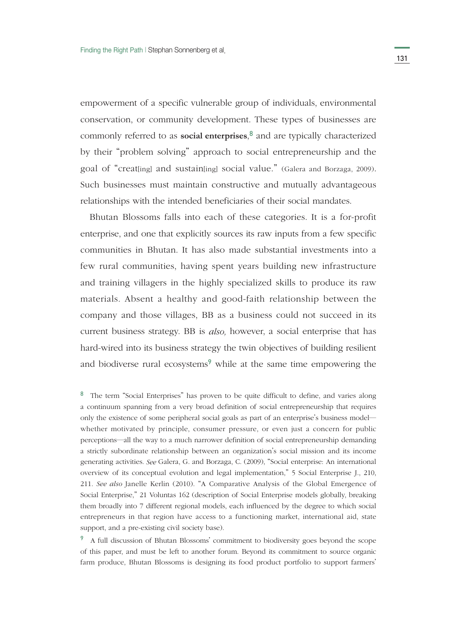empowerment of a specific vulnerable group of individuals, environmental conservation, or community development. These types of businesses are commonly referred to as **social enterprises**, <sup>8</sup> and are typically characterized by their "problem solving" approach to social entrepreneurship and the goal of "creat[ing] and sustain[ing] social value." (Galera and Borzaga, 2009). Such businesses must maintain constructive and mutually advantageous relationships with the intended beneficiaries of their social mandates.

Bhutan Blossoms falls into each of these categories. It is a for-profit enterprise, and one that explicitly sources its raw inputs from a few specific communities in Bhutan. It has also made substantial investments into a few rural communities, having spent years building new infrastructure and training villagers in the highly specialized skills to produce its raw materials. Absent a healthy and good-faith relationship between the company and those villages, BB as a business could not succeed in its current business strategy. BB is *also,* however, a social enterprise that has hard-wired into its business strategy the twin objectives of building resilient and biodiverse rural ecosystems<sup>9</sup> while at the same time empowering the

<sup>8</sup> The term "Social Enterprises" has proven to be quite difficult to define, and varies along a continuum spanning from a very broad definition of social entrepreneurship that requires only the existence of some peripheral social goals as part of an enterprise's business model― whether motivated by principle, consumer pressure, or even just a concern for public perceptions―all the way to a much narrower definition of social entrepreneurship demanding a strictly subordinate relationship between an organization's social mission and its income generating activities. *See* Galera, G. and Borzaga, C. (2009), "Social enterprise: An international overview of its conceptual evolution and legal implementation," 5 Social Enterprise J., 210, 211. *See also* Janelle Kerlin (2010). "A Comparative Analysis of the Global Emergence of Social Enterprise," 21 Voluntas 162 (description of Social Enterprise models globally, breaking them broadly into 7 different regional models, each influenced by the degree to which social entrepreneurs in that region have access to a functioning market, international aid, state support, and a pre-existing civil society base).

<sup>9</sup> A full discussion of Bhutan Blossoms' commitment to biodiversity goes beyond the scope of this paper, and must be left to another forum. Beyond its commitment to source organic farm produce, Bhutan Blossoms is designing its food product portfolio to support farmers'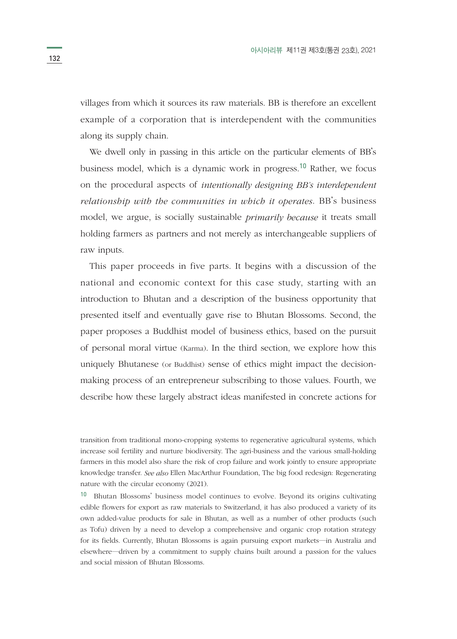villages from which it sources its raw materials. BB is therefore an excellent example of a corporation that is interdependent with the communities along its supply chain.

We dwell only in passing in this article on the particular elements of BB's business model, which is a dynamic work in progress.10 Rather, we focus on the procedural aspects of *intentionally designing BB's interdependent relationship with the communities in which it operates*. BB's business model, we argue, is socially sustainable *primarily because* it treats small holding farmers as partners and not merely as interchangeable suppliers of raw inputs.

This paper proceeds in five parts. It begins with a discussion of the national and economic context for this case study, starting with an introduction to Bhutan and a description of the business opportunity that presented itself and eventually gave rise to Bhutan Blossoms. Second, the paper proposes a Buddhist model of business ethics, based on the pursuit of personal moral virtue (Karma). In the third section, we explore how this uniquely Bhutanese (or Buddhist) sense of ethics might impact the decisionmaking process of an entrepreneur subscribing to those values. Fourth, we describe how these largely abstract ideas manifested in concrete actions for

transition from traditional mono-cropping systems to regenerative agricultural systems, which increase soil fertility and nurture biodiversity. The agri-business and the various small-holding farmers in this model also share the risk of crop failure and work jointly to ensure appropriate knowledge transfer. *See also* Ellen MacArthur Foundation, The big food redesign: Regenerating nature with the circular economy (2021).

<sup>10</sup> Bhutan Blossoms' business model continues to evolve. Beyond its origins cultivating edible flowers for export as raw materials to Switzerland, it has also produced a variety of its own added-value products for sale in Bhutan, as well as a number of other products (such as Tofu) driven by a need to develop a comprehensive and organic crop rotation strategy for its fields. Currently, Bhutan Blossoms is again pursuing export markets―in Australia and elsewhere―driven by a commitment to supply chains built around a passion for the values and social mission of Bhutan Blossoms.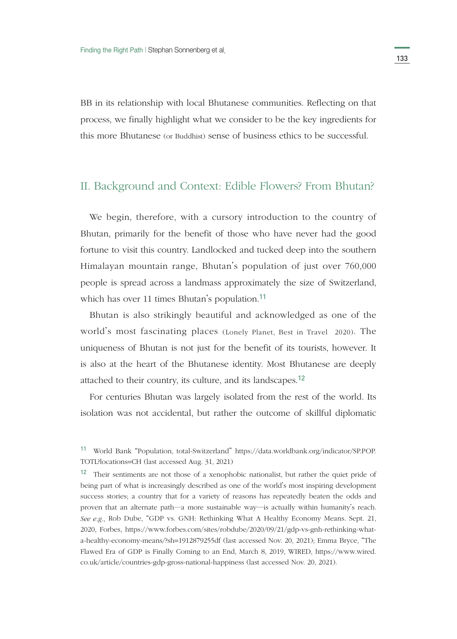BB in its relationship with local Bhutanese communities. Reflecting on that process, we finally highlight what we consider to be the key ingredients for this more Bhutanese (or Buddhist) sense of business ethics to be successful.

## II. Background and Context: Edible Flowers? From Bhutan?

We begin, therefore, with a cursory introduction to the country of Bhutan, primarily for the benefit of those who have never had the good fortune to visit this country. Landlocked and tucked deep into the southern Himalayan mountain range, Bhutan's population of just over 760,000 people is spread across a landmass approximately the size of Switzerland, which has over 11 times Bhutan's population.<sup>11</sup>

Bhutan is also strikingly beautiful and acknowledged as one of the world's most fascinating places (Lonely Planet, Best in Travel 2020). The uniqueness of Bhutan is not just for the benefit of its tourists, however. It is also at the heart of the Bhutanese identity. Most Bhutanese are deeply attached to their country, its culture, and its landscapes.<sup>12</sup>

For centuries Bhutan was largely isolated from the rest of the world. Its isolation was not accidental, but rather the outcome of skillful diplomatic

<sup>11</sup> World Bank "Population, total-Switzerland" https://data.worldbank.org/indicator/SP.POP. TOTL?locations=CH (last accessed Aug. 31, 2021)

<sup>&</sup>lt;sup>12</sup> Their sentiments are not those of a xenophobic nationalist, but rather the quiet pride of being part of what is increasingly described as one of the world's most inspiring development success stories; a country that for a variety of reasons has repeatedly beaten the odds and proven that an alternate path―a more sustainable way―is actually within humanity's reach. *See e.g.,* Rob Dube, "GDP vs. GNH: Rethinking What A Healthy Economy Means. Sept. 21, 2020, Forbes, https://www.forbes.com/sites/robdube/2020/09/21/gdp-vs-gnh-rethinking-whata-healthy-economy-means/?sh=1912879255df (last accessed Nov. 20, 2021); Emma Bryce, "The Flawed Era of GDP is Finally Coming to an End, March 8, 2019, WIRED, https://www.wired. co.uk/article/countries-gdp-gross-national-happiness (last accessed Nov. 20, 2021).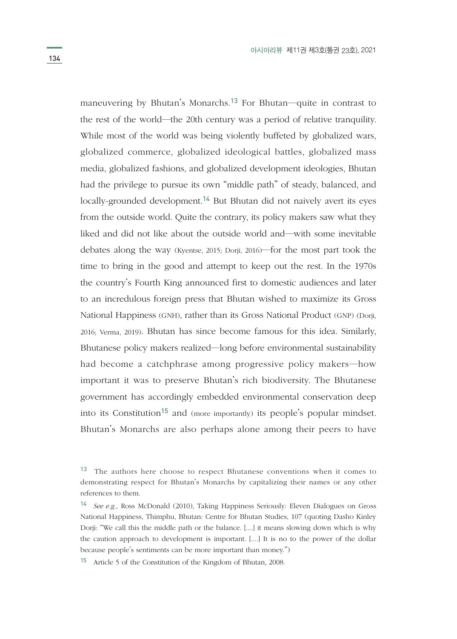maneuvering by Bhutan's Monarchs.<sup>13</sup> For Bhutan—quite in contrast to the rest of the world―the 20th century was a period of relative tranquility. While most of the world was being violently buffeted by globalized wars, globalized commerce, globalized ideological battles, globalized mass media, globalized fashions, and globalized development ideologies, Bhutan had the privilege to pursue its own "middle path" of steady, balanced, and locally-grounded development.<sup>14</sup> But Bhutan did not naively avert its eyes from the outside world. Quite the contrary, its policy makers saw what they liked and did not like about the outside world and―with some inevitable debates along the way (Kyentse, 2015; Dorji, 2016)―for the most part took the time to bring in the good and attempt to keep out the rest. In the 1970s the country's Fourth King announced first to domestic audiences and later to an incredulous foreign press that Bhutan wished to maximize its Gross National Happiness (GNH), rather than its Gross National Product (GNP) (Dorji, 2016; Verma, 2019). Bhutan has since become famous for this idea. Similarly, Bhutanese policy makers realized―long before environmental sustainability had become a catchphrase among progressive policy makers―how important it was to preserve Bhutan's rich biodiversity. The Bhutanese government has accordingly embedded environmental conservation deep into its Constitution<sup>15</sup> and (more importantly) its people's popular mindset. Bhutan's Monarchs are also perhaps alone among their peers to have

<sup>15</sup> Article 5 of the Constitution of the Kingdom of Bhutan, 2008.

<sup>&</sup>lt;sup>13</sup> The authors here choose to respect Bhutanese conventions when it comes to demonstrating respect for Bhutan's Monarchs by capitalizing their names or any other references to them.

<sup>14</sup> *See e.g.,* Ross McDonald (2010), Taking Happiness Seriously: Eleven Dialogues on Gross National Happiness, Thimphu, Bhutan: Centre for Bhutan Studies, 107 (quoting Dasho Kinley Dorji: "We call this the middle path or the balance. [....] it means slowing down which is why the caution approach to development is important. [....] It is no to the power of the dollar because people's sentiments can be more important than money.")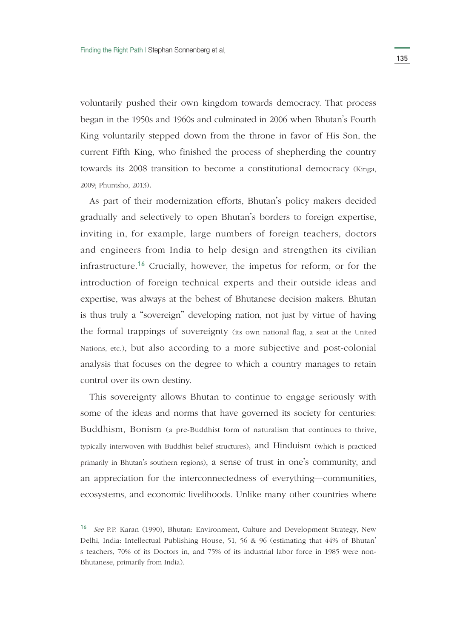voluntarily pushed their own kingdom towards democracy. That process began in the 1950s and 1960s and culminated in 2006 when Bhutan's Fourth King voluntarily stepped down from the throne in favor of His Son, the current Fifth King, who finished the process of shepherding the country towards its 2008 transition to become a constitutional democracy (Kinga, 2009; Phuntsho, 2013).

As part of their modernization efforts, Bhutan's policy makers decided gradually and selectively to open Bhutan's borders to foreign expertise, inviting in, for example, large numbers of foreign teachers, doctors and engineers from India to help design and strengthen its civilian infrastructure.16 Crucially, however, the impetus for reform, or for the introduction of foreign technical experts and their outside ideas and expertise, was always at the behest of Bhutanese decision makers. Bhutan is thus truly a "sovereign" developing nation, not just by virtue of having the formal trappings of sovereignty (its own national flag, a seat at the United Nations, etc.), but also according to a more subjective and post-colonial analysis that focuses on the degree to which a country manages to retain control over its own destiny.

This sovereignty allows Bhutan to continue to engage seriously with some of the ideas and norms that have governed its society for centuries: Buddhism, Bonism (a pre-Buddhist form of naturalism that continues to thrive, typically interwoven with Buddhist belief structures), and Hinduism (which is practiced primarily in Bhutan's southern regions), a sense of trust in one's community, and an appreciation for the interconnectedness of everything―communities, ecosystems, and economic livelihoods. Unlike many other countries where

<sup>16</sup> *See* P.P. Karan (1990), Bhutan: Environment, Culture and Development Strategy, New Delhi, India: Intellectual Publishing House, 51, 56 & 96 (estimating that 44% of Bhutan' s teachers, 70% of its Doctors in, and 75% of its industrial labor force in 1985 were non-Bhutanese, primarily from India).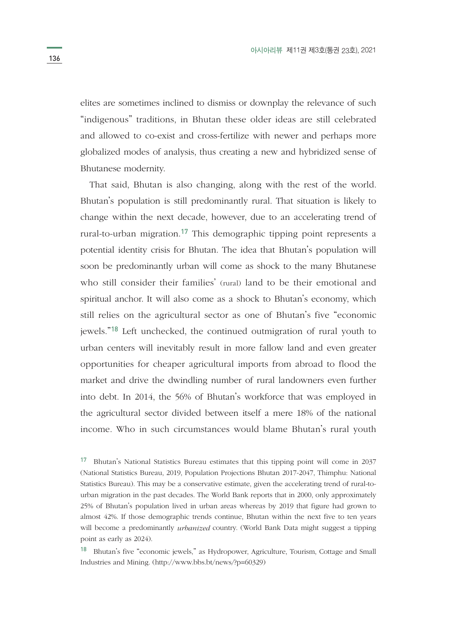elites are sometimes inclined to dismiss or downplay the relevance of such "indigenous" traditions, in Bhutan these older ideas are still celebrated and allowed to co-exist and cross-fertilize with newer and perhaps more globalized modes of analysis, thus creating a new and hybridized sense of Bhutanese modernity.

That said, Bhutan is also changing, along with the rest of the world. Bhutan's population is still predominantly rural. That situation is likely to change within the next decade, however, due to an accelerating trend of rural-to-urban migration.17 This demographic tipping point represents a potential identity crisis for Bhutan. The idea that Bhutan's population will soon be predominantly urban will come as shock to the many Bhutanese who still consider their families' (rural) land to be their emotional and spiritual anchor. It will also come as a shock to Bhutan's economy, which still relies on the agricultural sector as one of Bhutan's five "economic jewels."18 Left unchecked, the continued outmigration of rural youth to urban centers will inevitably result in more fallow land and even greater opportunities for cheaper agricultural imports from abroad to flood the market and drive the dwindling number of rural landowners even further into debt. In 2014, the 56% of Bhutan's workforce that was employed in the agricultural sector divided between itself a mere 18% of the national income. Who in such circumstances would blame Bhutan's rural youth

<sup>17</sup> Bhutan's National Statistics Bureau estimates that this tipping point will come in 2037 (National Statistics Bureau, 2019, Population Projections Bhutan 2017-2047, Thimphu: National Statistics Bureau). This may be a conservative estimate, given the accelerating trend of rural-tourban migration in the past decades. The World Bank reports that in 2000, only approximately 25% of Bhutan's population lived in urban areas whereas by 2019 that figure had grown to almost 42%. If those demographic trends continue, Bhutan within the next five to ten years will become a predominantly *urbanized* country. (World Bank Data might suggest a tipping point as early as 2024).

<sup>18</sup> Bhutan's five "economic jewels," as Hydropower, Agriculture, Tourism, Cottage and Small Industries and Mining. (http://www.bbs.bt/news/?p=60329)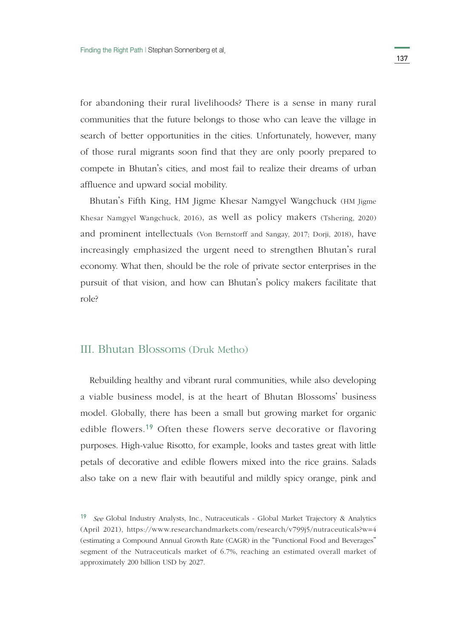for abandoning their rural livelihoods? There is a sense in many rural communities that the future belongs to those who can leave the village in search of better opportunities in the cities. Unfortunately, however, many of those rural migrants soon find that they are only poorly prepared to compete in Bhutan's cities, and most fail to realize their dreams of urban affluence and upward social mobility.

Bhutan's Fifth King, HM Jigme Khesar Namgyel Wangchuck (HM Jigme Khesar Namgyel Wangchuck, 2016), as well as policy makers (Tshering, 2020) and prominent intellectuals (Von Bernstorff and Sangay, 2017; Dorji, 2018), have increasingly emphasized the urgent need to strengthen Bhutan's rural economy. What then, should be the role of private sector enterprises in the pursuit of that vision, and how can Bhutan's policy makers facilitate that role?

# III. Bhutan Blossoms (Druk Metho)

Rebuilding healthy and vibrant rural communities, while also developing a viable business model, is at the heart of Bhutan Blossoms' business model. Globally, there has been a small but growing market for organic edible flowers.19 Often these flowers serve decorative or flavoring purposes. High-value Risotto, for example, looks and tastes great with little petals of decorative and edible flowers mixed into the rice grains. Salads also take on a new flair with beautiful and mildly spicy orange, pink and

<sup>19</sup> *See* Global Industry Analysts, Inc., Nutraceuticals - Global Market Trajectory & Analytics (April 2021), https://www.researchandmarkets.com/research/v799j5/nutraceuticals?w=4 (estimating a Compound Annual Growth Rate (CAGR) in the "Functional Food and Beverages" segment of the Nutraceuticals market of 6.7%, reaching an estimated overall market of approximately 200 billion USD by 2027.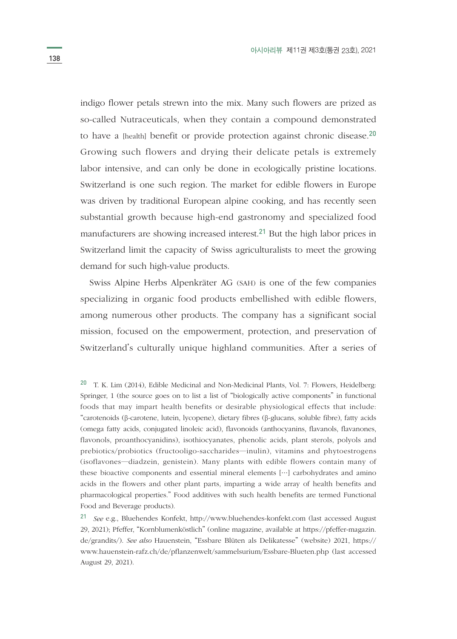indigo flower petals strewn into the mix. Many such flowers are prized as so-called Nutraceuticals, when they contain a compound demonstrated to have a [health] benefit or provide protection against chronic disease.<sup>20</sup> Growing such flowers and drying their delicate petals is extremely labor intensive, and can only be done in ecologically pristine locations. Switzerland is one such region. The market for edible flowers in Europe was driven by traditional European alpine cooking, and has recently seen substantial growth because high-end gastronomy and specialized food manufacturers are showing increased interest.21 But the high labor prices in Switzerland limit the capacity of Swiss agriculturalists to meet the growing demand for such high-value products.

Swiss Alpine Herbs Alpenkräter AG (SAH) is one of the few companies specializing in organic food products embellished with edible flowers, among numerous other products. The company has a significant social mission, focused on the empowerment, protection, and preservation of Switzerland's culturally unique highland communities. After a series of

<sup>20</sup> T. K. Lim (2014), Edible Medicinal and Non-Medicinal Plants, Vol. 7: Flowers, Heidelberg: Springer, 1 (the source goes on to list a list of "biologically active components" in functional foods that may impart health benefits or desirable physiological effects that include: "carotenoids (β-carotene, lutein, lycopene), dietary fibres (β-glucans, soluble fibre), fatty acids (omega fatty acids, conjugated linoleic acid), flavonoids (anthocyanins, flavanols, flavanones, flavonols, proanthocyanidins), isothiocyanates, phenolic acids, plant sterols, polyols and prebiotics/probiotics (fructooligo-saccharides―inulin), vitamins and phytoestrogens (isoflavones―diadzein, genistein). Many plants with edible flowers contain many of these bioactive components and essential mineral elements […] carbohydrates and amino acids in the flowers and other plant parts, imparting a wide array of health benefits and pharmacological properties." Food additives with such health benefits are termed Functional Food and Beverage products).

<sup>21</sup> *See* e.g., Bluehendes Konfekt, http://www.bluehendes-konfekt.com (last accessed August 29, 2021); Pfeffer, "Kornblumenköstlich" (online magazine, available at https://pfeffer-magazin. de/grandits/). *See also* Hauenstein, "Essbare Blüten als Delikatesse" (website) 2021, https:// www.hauenstein-rafz.ch/de/pflanzenwelt/sammelsurium/Essbare-Blueten.php (last accessed August 29, 2021).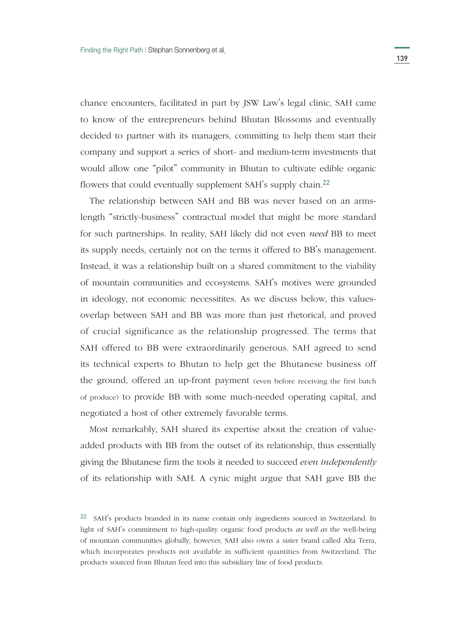chance encounters, facilitated in part by JSW Law's legal clinic, SAH came to know of the entrepreneurs behind Bhutan Blossoms and eventually decided to partner with its managers, committing to help them start their company and support a series of short- and medium-term investments that would allow one "pilot" community in Bhutan to cultivate edible organic flowers that could eventually supplement SAH's supply chain.<sup>22</sup>

The relationship between SAH and BB was never based on an armslength "strictly-business" contractual model that might be more standard for such partnerships. In reality, SAH likely did not even *need* BB to meet its supply needs, certainly not on the terms it offered to BB's management. Instead, it was a relationship built on a shared commitment to the viability of mountain communities and ecosystems. SAH's motives were grounded in ideology, not economic necessitites. As we discuss below, this valuesoverlap between SAH and BB was more than just rhetorical, and proved of crucial significance as the relationship progressed. The terms that SAH offered to BB were extraordinarily generous. SAH agreed to send its technical experts to Bhutan to help get the Bhutanese business off the ground, offered an up-front payment (even before receiving the first batch of produce) to provide BB with some much-needed operating capital, and negotiated a host of other extremely favorable terms.

Most remarkably, SAH shared its expertise about the creation of valueadded products with BB from the outset of its relationship, thus essentially giving the Bhutanese firm the tools it needed to succeed *even independently*  of its relationship with SAH. A cynic might argue that SAH gave BB the

<sup>&</sup>lt;sup>22</sup> SAH's products branded in its name contain only ingredients sourced in Switzerland. In light of SAH's commitment to high-quality organic food products *as well as* the well-being of mountain communities globally, however, SAH also owns a sister brand called Alta Terra, which incorporates products not available in sufficient quantities from Switzerland. The products sourced from Bhutan feed into this subsidiary line of food products.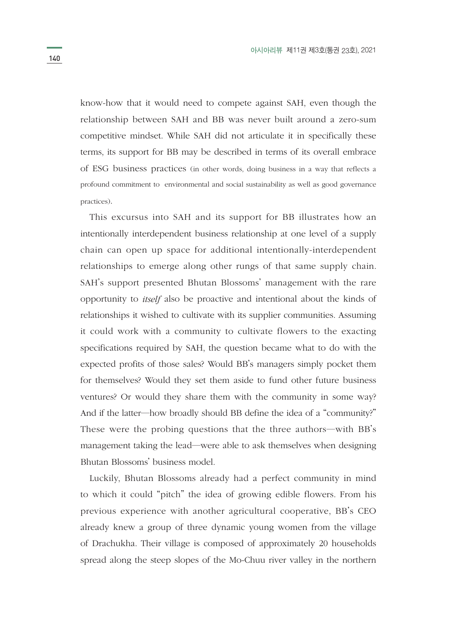know-how that it would need to compete against SAH, even though the relationship between SAH and BB was never built around a zero-sum competitive mindset. While SAH did not articulate it in specifically these terms, its support for BB may be described in terms of its overall embrace of ESG business practices (in other words, doing business in a way that reflects a profound commitment to environmental and social sustainability as well as good governance practices).

This excursus into SAH and its support for BB illustrates how an intentionally interdependent business relationship at one level of a supply chain can open up space for additional intentionally-interdependent relationships to emerge along other rungs of that same supply chain. SAH's support presented Bhutan Blossoms' management with the rare opportunity to *itself* also be proactive and intentional about the kinds of relationships it wished to cultivate with its supplier communities. Assuming it could work with a community to cultivate flowers to the exacting specifications required by SAH, the question became what to do with the expected profits of those sales? Would BB's managers simply pocket them for themselves? Would they set them aside to fund other future business ventures? Or would they share them with the community in some way? And if the latter―how broadly should BB define the idea of a "community?" These were the probing questions that the three authors―with BB's management taking the lead―were able to ask themselves when designing Bhutan Blossoms' business model.

Luckily, Bhutan Blossoms already had a perfect community in mind to which it could "pitch" the idea of growing edible flowers. From his previous experience with another agricultural cooperative, BB's CEO already knew a group of three dynamic young women from the village of Drachukha. Their village is composed of approximately 20 households spread along the steep slopes of the Mo-Chuu river valley in the northern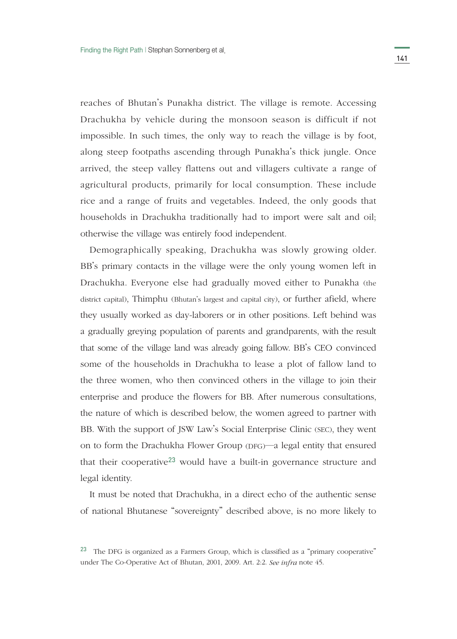reaches of Bhutan's Punakha district. The village is remote. Accessing Drachukha by vehicle during the monsoon season is difficult if not impossible. In such times, the only way to reach the village is by foot, along steep footpaths ascending through Punakha's thick jungle. Once arrived, the steep valley flattens out and villagers cultivate a range of agricultural products, primarily for local consumption. These include rice and a range of fruits and vegetables. Indeed, the only goods that households in Drachukha traditionally had to import were salt and oil; otherwise the village was entirely food independent.

Demographically speaking, Drachukha was slowly growing older. BB's primary contacts in the village were the only young women left in Drachukha. Everyone else had gradually moved either to Punakha (the district capital), Thimphu (Bhutan's largest and capital city), or further afield, where they usually worked as day-laborers or in other positions. Left behind was a gradually greying population of parents and grandparents, with the result that some of the village land was already going fallow. BB's CEO convinced some of the households in Drachukha to lease a plot of fallow land to the three women, who then convinced others in the village to join their enterprise and produce the flowers for BB. After numerous consultations, the nature of which is described below, the women agreed to partner with BB. With the support of JSW Law's Social Enterprise Clinic (SEC), they went on to form the Drachukha Flower Group (DFG)―a legal entity that ensured that their cooperative23 would have a built-in governance structure and legal identity.

It must be noted that Drachukha, in a direct echo of the authentic sense of national Bhutanese "sovereignty" described above, is no more likely to

<sup>23</sup> The DFG is organized as a Farmers Group, which is classified as a "primary cooperative" under The Co-Operative Act of Bhutan, 2001, 2009. Art. 2:2. *See infra* note 45.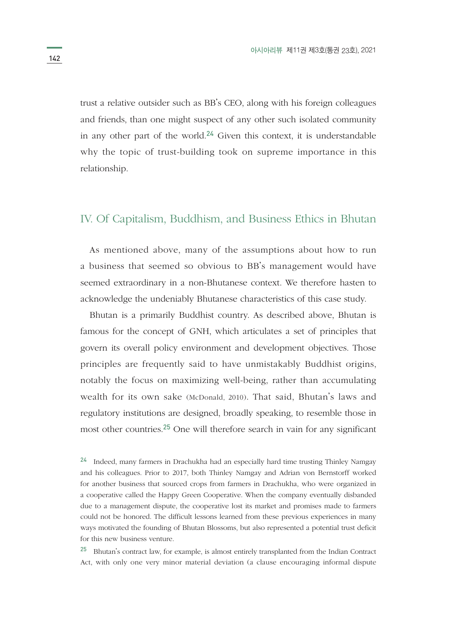trust a relative outsider such as BB's CEO, along with his foreign colleagues and friends, than one might suspect of any other such isolated community in any other part of the world.<sup>24</sup> Given this context, it is understandable why the topic of trust-building took on supreme importance in this relationship.

### IV. Of Capitalism, Buddhism, and Business Ethics in Bhutan

As mentioned above, many of the assumptions about how to run a business that seemed so obvious to BB's management would have seemed extraordinary in a non-Bhutanese context. We therefore hasten to acknowledge the undeniably Bhutanese characteristics of this case study.

Bhutan is a primarily Buddhist country. As described above, Bhutan is famous for the concept of GNH, which articulates a set of principles that govern its overall policy environment and development objectives. Those principles are frequently said to have unmistakably Buddhist origins, notably the focus on maximizing well-being, rather than accumulating wealth for its own sake (McDonald, 2010). That said, Bhutan's laws and regulatory institutions are designed, broadly speaking, to resemble those in most other countries.25 One will therefore search in vain for any significant

<sup>24</sup> Indeed, many farmers in Drachukha had an especially hard time trusting Thinley Namgay and his colleagues. Prior to 2017, both Thinley Namgay and Adrian von Bernstorff worked for another business that sourced crops from farmers in Drachukha, who were organized in a cooperative called the Happy Green Cooperative. When the company eventually disbanded due to a management dispute, the cooperative lost its market and promises made to farmers could not be honored. The difficult lessons learned from these previous experiences in many ways motivated the founding of Bhutan Blossoms, but also represented a potential trust deficit for this new business venture.

<sup>25</sup> Bhutan's contract law, for example, is almost entirely transplanted from the Indian Contract Act, with only one very minor material deviation (a clause encouraging informal dispute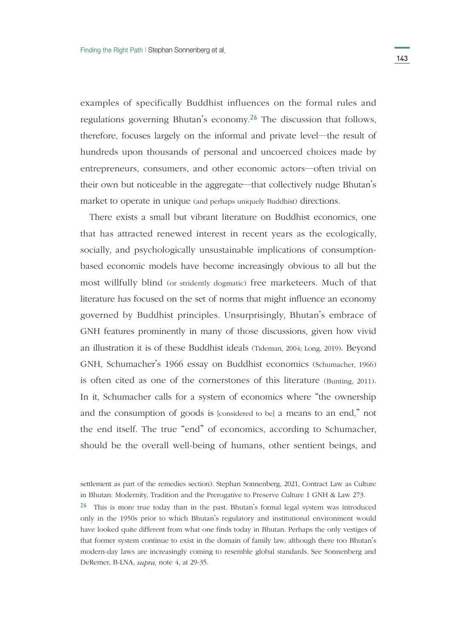examples of specifically Buddhist influences on the formal rules and regulations governing Bhutan's economy.26 The discussion that follows, therefore, focuses largely on the informal and private level—the result of hundreds upon thousands of personal and uncoerced choices made by entrepreneurs, consumers, and other economic actors―often trivial on their own but noticeable in the aggregate―that collectively nudge Bhutan's market to operate in unique (and perhaps uniquely Buddhist) directions.

There exists a small but vibrant literature on Buddhist economics, one that has attracted renewed interest in recent years as the ecologically, socially, and psychologically unsustainable implications of consumptionbased economic models have become increasingly obvious to all but the most willfully blind (or stridently dogmatic) free marketeers. Much of that literature has focused on the set of norms that might influence an economy governed by Buddhist principles. Unsurprisingly, Bhutan's embrace of GNH features prominently in many of those discussions, given how vivid an illustration it is of these Buddhist ideals (Tideman, 2004; Long, 2019). Beyond GNH, Schumacher's 1966 essay on Buddhist economics (Schumacher, 1966) is often cited as one of the cornerstones of this literature (Bunting, 2011). In it, Schumacher calls for a system of economics where "the ownership and the consumption of goods is [considered to be] a means to an end," not the end itself. The true "end" of economics, according to Schumacher, should be the overall well-being of humans, other sentient beings, and

settlement as part of the remedies section). Stephan Sonnenberg, 2021, Contract Law as Culture in Bhutan: Modernity, Tradition and the Prerogative to Preserve Culture 1 GNH & Law 273.

 $26$  This is more true today than in the past. Bhutan's formal legal system was introduced only in the 1950s prior to which Bhutan's regulatory and institutional environment would have looked quite different from what one finds today in Bhutan. Perhaps the only vestiges of that former system continue to exist in the domain of family law, although there too Bhutan's modern-day laws are increasingly coming to resemble global standards. See Sonnenberg and DeRemer, B-LNA, *supra,* note 4, at 29-35.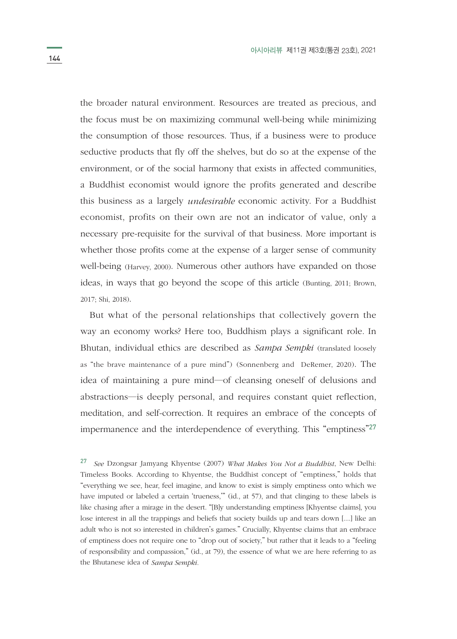the broader natural environment. Resources are treated as precious, and the focus must be on maximizing communal well-being while minimizing the consumption of those resources. Thus, if a business were to produce seductive products that fly off the shelves, but do so at the expense of the environment, or of the social harmony that exists in affected communities, a Buddhist economist would ignore the profits generated and describe this business as a largely *undesirable* economic activity. For a Buddhist economist, profits on their own are not an indicator of value, only a necessary pre-requisite for the survival of that business. More important is whether those profits come at the expense of a larger sense of community well-being (Harvey, 2000). Numerous other authors have expanded on those ideas, in ways that go beyond the scope of this article (Bunting, 2011; Brown, 2017; Shi, 2018).

But what of the personal relationships that collectively govern the way an economy works? Here too, Buddhism plays a significant role. In Bhutan, individual ethics are described as *Sampa Sempki* (translated loosely as "the brave maintenance of a pure mind") (Sonnenberg and DeRemer, 2020). The idea of maintaining a pure mind―of cleansing oneself of delusions and abstractions―is deeply personal, and requires constant quiet reflection, meditation, and self-correction. It requires an embrace of the concepts of impermanence and the interdependence of everything. This "emptiness"<sup>27</sup>

<sup>27</sup> *See* Dzongsar Jamyang Khyentse (2007) *What Makes You Not a Buddhist*, New Delhi: Timeless Books. According to Khyentse, the Buddhist concept of "emptiness," holds that "everything we see, hear, feel imagine, and know to exist is simply emptiness onto which we have imputed or labeled a certain 'trueness,'" (id., at 57), and that clinging to these labels is like chasing after a mirage in the desert. "[B]y understanding emptiness [Khyentse claims], you lose interest in all the trappings and beliefs that society builds up and tears down [....] like an adult who is not so interested in children's games." Crucially, Khyentse claims that an embrace of emptiness does not require one to "drop out of society," but rather that it leads to a "feeling of responsibility and compassion," (id., at 79), the essence of what we are here referring to as the Bhutanese idea of *Sampa Sempki.*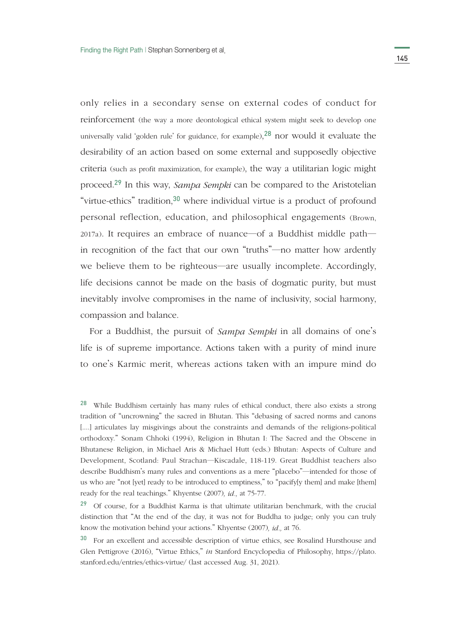only relies in a secondary sense on external codes of conduct for reinforcement (the way a more deontological ethical system might seek to develop one universally valid 'golden rule' for guidance, for example), $^{28}$  nor would it evaluate the desirability of an action based on some external and supposedly objective criteria (such as profit maximization, for example), the way a utilitarian logic might proceed.29 In this way, *Sampa Sempki* can be compared to the Aristotelian "virtue-ethics" tradition,<sup>30</sup> where individual virtue is a product of profound personal reflection, education, and philosophical engagements (Brown, 2017a). It requires an embrace of nuance―of a Buddhist middle path― in recognition of the fact that our own "truths"―no matter how ardently we believe them to be righteous―are usually incomplete. Accordingly, life decisions cannot be made on the basis of dogmatic purity, but must inevitably involve compromises in the name of inclusivity, social harmony, compassion and balance.

For a Buddhist, the pursuit of *Sampa Sempki* in all domains of one's life is of supreme importance. Actions taken with a purity of mind inure to one's Karmic merit, whereas actions taken with an impure mind do

<sup>&</sup>lt;sup>28</sup> While Buddhism certainly has many rules of ethical conduct, there also exists a strong tradition of "uncrowning" the sacred in Bhutan. This "debasing of sacred norms and canons [....] articulates lay misgivings about the constraints and demands of the religions-political orthodoxy." Sonam Chhoki (1994), Religion in Bhutan I: The Sacred and the Obscene in Bhutanese Religion, in Michael Aris & Michael Hutt (eds.) Bhutan: Aspects of Culture and Development, Scotland: Paul Strachan―Kiscadale, 118-119. Great Buddhist teachers also describe Buddhism's many rules and conventions as a mere "placebo"―intended for those of us who are "not [yet] ready to be introduced to emptiness," to "pacify[y them] and make [them] ready for the real teachings." Khyentse (2007)*, id.,* at 75-77.

<sup>29</sup> Of course, for a Buddhist Karma is that ultimate utilitarian benchmark, with the crucial distinction that "At the end of the day, it was not for Buddha to judge; only you can truly know the motivation behind your actions." Khyentse (2007)*, id.,* at 76.

<sup>&</sup>lt;sup>30</sup> For an excellent and accessible description of virtue ethics, see Rosalind Hursthouse and Glen Pettigrove (2016), "Virtue Ethics," *in* Stanford Encyclopedia of Philosophy, https://plato. stanford.edu/entries/ethics-virtue/ (last accessed Aug. 31, 2021).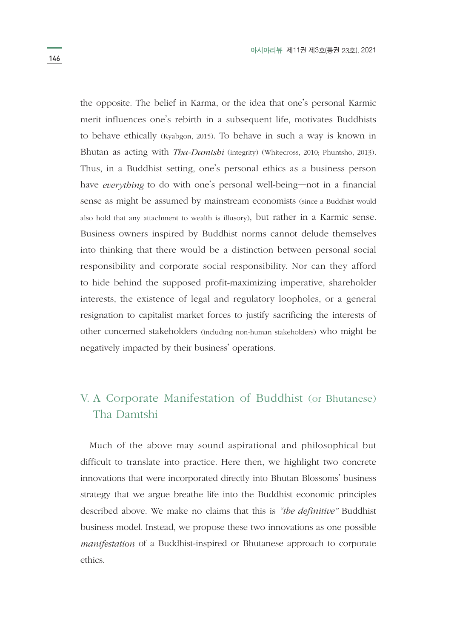the opposite. The belief in Karma, or the idea that one's personal Karmic merit influences one's rebirth in a subsequent life, motivates Buddhists to behave ethically (Kyabgon, 2015). To behave in such a way is known in Bhutan as acting with *Tha-Damtshi* (integrity) (Whitecross, 2010; Phuntsho, 2013). Thus, in a Buddhist setting, one's personal ethics as a business person have *everything* to do with one's personal well-being―not in a financial sense as might be assumed by mainstream economists (since a Buddhist would also hold that any attachment to wealth is illusory), but rather in a Karmic sense. Business owners inspired by Buddhist norms cannot delude themselves into thinking that there would be a distinction between personal social responsibility and corporate social responsibility. Nor can they afford to hide behind the supposed profit-maximizing imperative, shareholder interests, the existence of legal and regulatory loopholes, or a general resignation to capitalist market forces to justify sacrificing the interests of other concerned stakeholders (including non-human stakeholders) who might be negatively impacted by their business' operations.

# V. A Corporate Manifestation of Buddhist (or Bhutanese) Tha Damtshi

Much of the above may sound aspirational and philosophical but difficult to translate into practice. Here then, we highlight two concrete innovations that were incorporated directly into Bhutan Blossoms' business strategy that we argue breathe life into the Buddhist economic principles described above. We make no claims that this is *"the definitive"* Buddhist business model. Instead, we propose these two innovations as one possible *manifestation* of a Buddhist-inspired or Bhutanese approach to corporate ethics.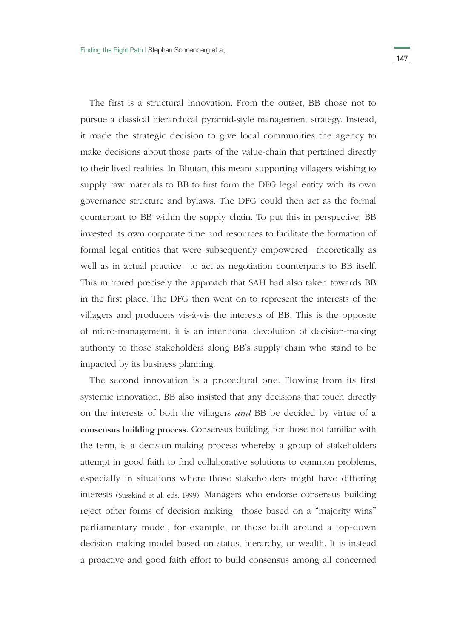The first is a structural innovation. From the outset, BB chose not to pursue a classical hierarchical pyramid-style management strategy. Instead, it made the strategic decision to give local communities the agency to make decisions about those parts of the value-chain that pertained directly to their lived realities. In Bhutan, this meant supporting villagers wishing to supply raw materials to BB to first form the DFG legal entity with its own governance structure and bylaws. The DFG could then act as the formal counterpart to BB within the supply chain. To put this in perspective, BB invested its own corporate time and resources to facilitate the formation of formal legal entities that were subsequently empowered―theoretically as well as in actual practice—to act as negotiation counterparts to BB itself. This mirrored precisely the approach that SAH had also taken towards BB in the first place. The DFG then went on to represent the interests of the villagers and producers vis-à-vis the interests of BB. This is the opposite of micro-management: it is an intentional devolution of decision-making authority to those stakeholders along BB's supply chain who stand to be impacted by its business planning.

The second innovation is a procedural one. Flowing from its first systemic innovation, BB also insisted that any decisions that touch directly on the interests of both the villagers *and* BB be decided by virtue of a **consensus building process**. Consensus building, for those not familiar with the term, is a decision-making process whereby a group of stakeholders attempt in good faith to find collaborative solutions to common problems, especially in situations where those stakeholders might have differing interests (Susskind et al. eds. 1999). Managers who endorse consensus building reject other forms of decision making―those based on a "majority wins" parliamentary model, for example, or those built around a top-down decision making model based on status, hierarchy, or wealth. It is instead a proactive and good faith effort to build consensus among all concerned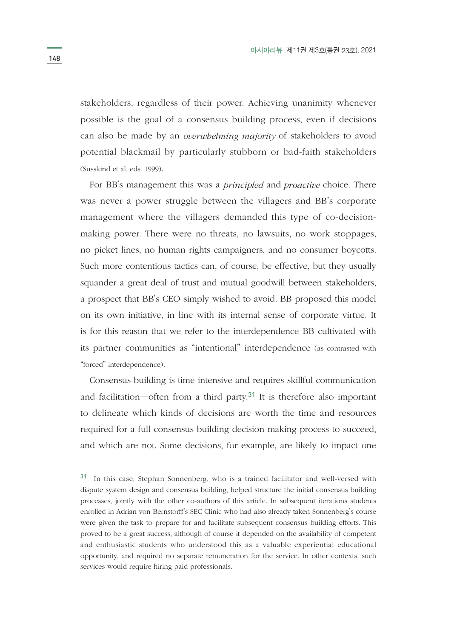stakeholders, regardless of their power. Achieving unanimity whenever possible is the goal of a consensus building process, even if decisions can also be made by an *overwhelming majority* of stakeholders to avoid potential blackmail by particularly stubborn or bad-faith stakeholders (Susskind et al. eds. 1999).

For BB's management this was a *principled* and *proactive* choice. There was never a power struggle between the villagers and BB's corporate management where the villagers demanded this type of co-decisionmaking power. There were no threats, no lawsuits, no work stoppages, no picket lines, no human rights campaigners, and no consumer boycotts. Such more contentious tactics can, of course, be effective, but they usually squander a great deal of trust and mutual goodwill between stakeholders, a prospect that BB's CEO simply wished to avoid. BB proposed this model on its own initiative, in line with its internal sense of corporate virtue. It is for this reason that we refer to the interdependence BB cultivated with its partner communities as "intentional" interdependence (as contrasted with "forced" interdependence).

Consensus building is time intensive and requires skillful communication and facilitation―often from a third party.31 It is therefore also important to delineate which kinds of decisions are worth the time and resources required for a full consensus building decision making process to succeed, and which are not. Some decisions, for example, are likely to impact one

<sup>31</sup> In this case, Stephan Sonnenberg, who is a trained facilitator and well-versed with dispute system design and consensus building, helped structure the initial consensus building processes, jointly with the other co-authors of this article. In subsequent iterations students enrolled in Adrian von Bernstorff's SEC Clinic who had also already taken Sonnenberg's course were given the task to prepare for and facilitate subsequent consensus building efforts. This proved to be a great success, although of course it depended on the availability of competent and enthusiastic students who understood this as a valuable experiential educational opportunity, and required no separate remuneration for the service. In other contexts, such services would require hiring paid professionals.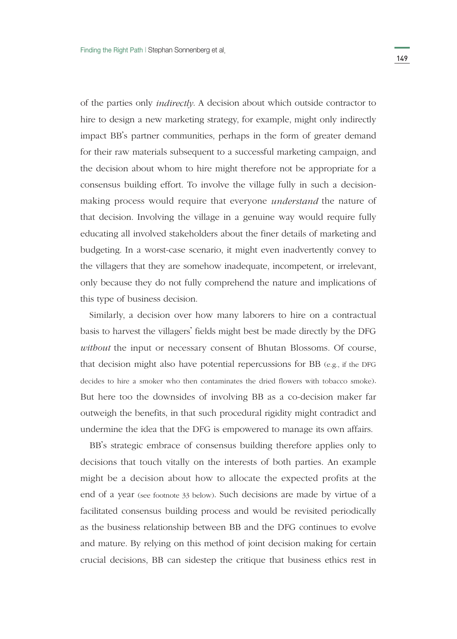of the parties only *indirectly*. A decision about which outside contractor to hire to design a new marketing strategy, for example, might only indirectly impact BB's partner communities, perhaps in the form of greater demand for their raw materials subsequent to a successful marketing campaign, and the decision about whom to hire might therefore not be appropriate for a consensus building effort. To involve the village fully in such a decisionmaking process would require that everyone *understand* the nature of that decision. Involving the village in a genuine way would require fully educating all involved stakeholders about the finer details of marketing and budgeting. In a worst-case scenario, it might even inadvertently convey to the villagers that they are somehow inadequate, incompetent, or irrelevant, only because they do not fully comprehend the nature and implications of this type of business decision.

Similarly, a decision over how many laborers to hire on a contractual basis to harvest the villagers' fields might best be made directly by the DFG *without* the input or necessary consent of Bhutan Blossoms. Of course, that decision might also have potential repercussions for BB (e.g., if the DFG decides to hire a smoker who then contaminates the dried flowers with tobacco smoke). But here too the downsides of involving BB as a co-decision maker far outweigh the benefits, in that such procedural rigidity might contradict and undermine the idea that the DFG is empowered to manage its own affairs.

BB's strategic embrace of consensus building therefore applies only to decisions that touch vitally on the interests of both parties. An example might be a decision about how to allocate the expected profits at the end of a year (see footnote 33 below). Such decisions are made by virtue of a facilitated consensus building process and would be revisited periodically as the business relationship between BB and the DFG continues to evolve and mature. By relying on this method of joint decision making for certain crucial decisions, BB can sidestep the critique that business ethics rest in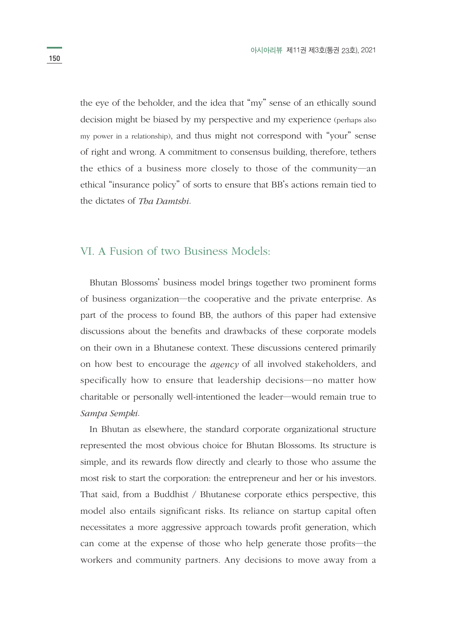the eye of the beholder, and the idea that "my" sense of an ethically sound decision might be biased by my perspective and my experience (perhaps also my power in a relationship), and thus might not correspond with "your" sense of right and wrong. A commitment to consensus building, therefore, tethers the ethics of a business more closely to those of the community―an ethical "insurance policy" of sorts to ensure that BB's actions remain tied to the dictates of *Tha Damtshi*.

# VI. A Fusion of two Business Models:

Bhutan Blossoms' business model brings together two prominent forms of business organization―the cooperative and the private enterprise. As part of the process to found BB, the authors of this paper had extensive discussions about the benefits and drawbacks of these corporate models on their own in a Bhutanese context. These discussions centered primarily on how best to encourage the *agency* of all involved stakeholders, and specifically how to ensure that leadership decisions―no matter how charitable or personally well-intentioned the leader―would remain true to *Sampa Sempki*.

In Bhutan as elsewhere, the standard corporate organizational structure represented the most obvious choice for Bhutan Blossoms. Its structure is simple, and its rewards flow directly and clearly to those who assume the most risk to start the corporation: the entrepreneur and her or his investors. That said, from a Buddhist / Bhutanese corporate ethics perspective, this model also entails significant risks. Its reliance on startup capital often necessitates a more aggressive approach towards profit generation, which can come at the expense of those who help generate those profits―the workers and community partners. Any decisions to move away from a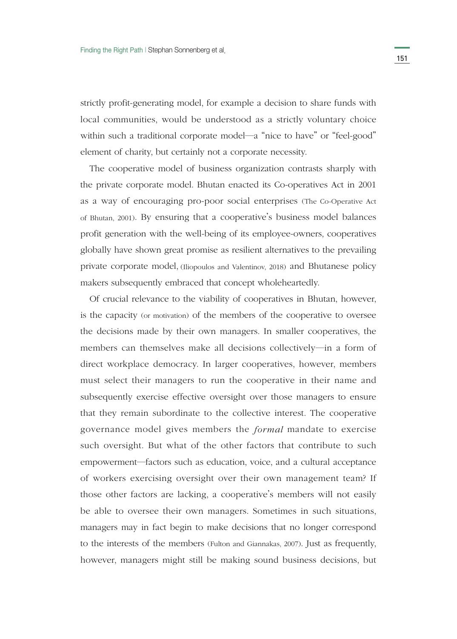strictly profit-generating model, for example a decision to share funds with local communities, would be understood as a strictly voluntary choice within such a traditional corporate model—a "nice to have" or "feel-good" element of charity, but certainly not a corporate necessity.

The cooperative model of business organization contrasts sharply with the private corporate model. Bhutan enacted its Co-operatives Act in 2001 as a way of encouraging pro-poor social enterprises (The Co-Operative Act of Bhutan, 2001). By ensuring that a cooperative's business model balances profit generation with the well-being of its employee-owners, cooperatives globally have shown great promise as resilient alternatives to the prevailing private corporate model, (Iliopoulos and Valentinov, 2018) and Bhutanese policy makers subsequently embraced that concept wholeheartedly.

Of crucial relevance to the viability of cooperatives in Bhutan, however, is the capacity (or motivation) of the members of the cooperative to oversee the decisions made by their own managers. In smaller cooperatives, the members can themselves make all decisions collectively―in a form of direct workplace democracy. In larger cooperatives, however, members must select their managers to run the cooperative in their name and subsequently exercise effective oversight over those managers to ensure that they remain subordinate to the collective interest. The cooperative governance model gives members the *formal* mandate to exercise such oversight. But what of the other factors that contribute to such empowerment―factors such as education, voice, and a cultural acceptance of workers exercising oversight over their own management team? If those other factors are lacking, a cooperative's members will not easily be able to oversee their own managers. Sometimes in such situations, managers may in fact begin to make decisions that no longer correspond to the interests of the members (Fulton and Giannakas, 2007). Just as frequently, however, managers might still be making sound business decisions, but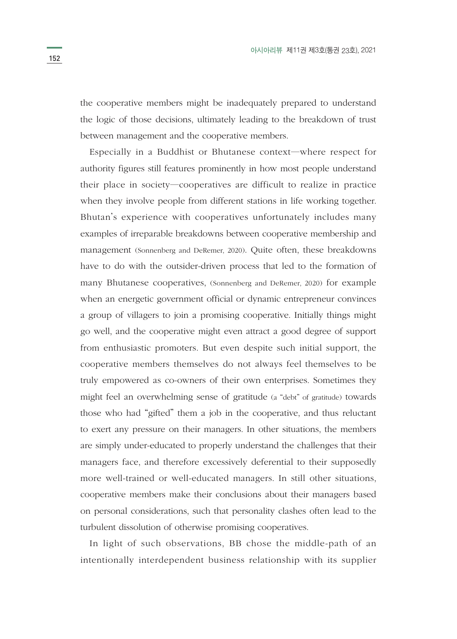the cooperative members might be inadequately prepared to understand the logic of those decisions, ultimately leading to the breakdown of trust between management and the cooperative members.

Especially in a Buddhist or Bhutanese context―where respect for authority figures still features prominently in how most people understand their place in society―cooperatives are difficult to realize in practice when they involve people from different stations in life working together. Bhutan's experience with cooperatives unfortunately includes many examples of irreparable breakdowns between cooperative membership and management (Sonnenberg and DeRemer, 2020). Quite often, these breakdowns have to do with the outsider-driven process that led to the formation of many Bhutanese cooperatives, (Sonnenberg and DeRemer, 2020) for example when an energetic government official or dynamic entrepreneur convinces a group of villagers to join a promising cooperative. Initially things might go well, and the cooperative might even attract a good degree of support from enthusiastic promoters. But even despite such initial support, the cooperative members themselves do not always feel themselves to be truly empowered as co-owners of their own enterprises. Sometimes they might feel an overwhelming sense of gratitude (a "debt" of gratitude) towards those who had "gifted" them a job in the cooperative, and thus reluctant to exert any pressure on their managers. In other situations, the members are simply under-educated to properly understand the challenges that their managers face, and therefore excessively deferential to their supposedly more well-trained or well-educated managers. In still other situations, cooperative members make their conclusions about their managers based on personal considerations, such that personality clashes often lead to the turbulent dissolution of otherwise promising cooperatives.

In light of such observations, BB chose the middle-path of an intentionally interdependent business relationship with its supplier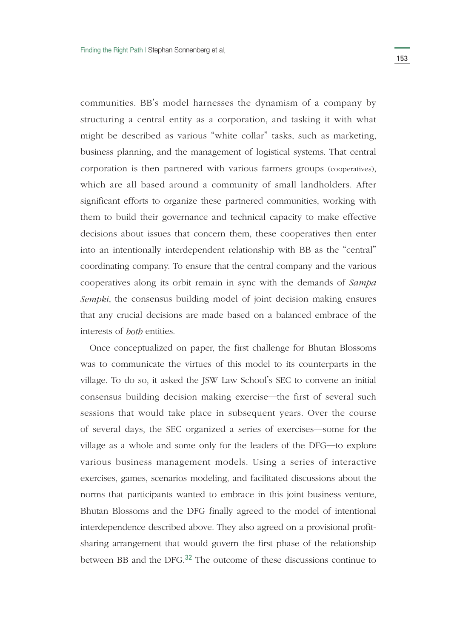communities. BB's model harnesses the dynamism of a company by structuring a central entity as a corporation, and tasking it with what might be described as various "white collar" tasks, such as marketing, business planning, and the management of logistical systems. That central corporation is then partnered with various farmers groups (cooperatives), which are all based around a community of small landholders. After significant efforts to organize these partnered communities, working with them to build their governance and technical capacity to make effective decisions about issues that concern them, these cooperatives then enter into an intentionally interdependent relationship with BB as the "central" coordinating company. To ensure that the central company and the various cooperatives along its orbit remain in sync with the demands of *Sampa Sempki*, the consensus building model of joint decision making ensures that any crucial decisions are made based on a balanced embrace of the interests of *both* entities.

Once conceptualized on paper, the first challenge for Bhutan Blossoms was to communicate the virtues of this model to its counterparts in the village. To do so, it asked the JSW Law School's SEC to convene an initial consensus building decision making exercise―the first of several such sessions that would take place in subsequent years. Over the course of several days, the SEC organized a series of exercises―some for the village as a whole and some only for the leaders of the DFG―to explore various business management models. Using a series of interactive exercises, games, scenarios modeling, and facilitated discussions about the norms that participants wanted to embrace in this joint business venture, Bhutan Blossoms and the DFG finally agreed to the model of intentional interdependence described above. They also agreed on a provisional profitsharing arrangement that would govern the first phase of the relationship between BB and the DFG.32 The outcome of these discussions continue to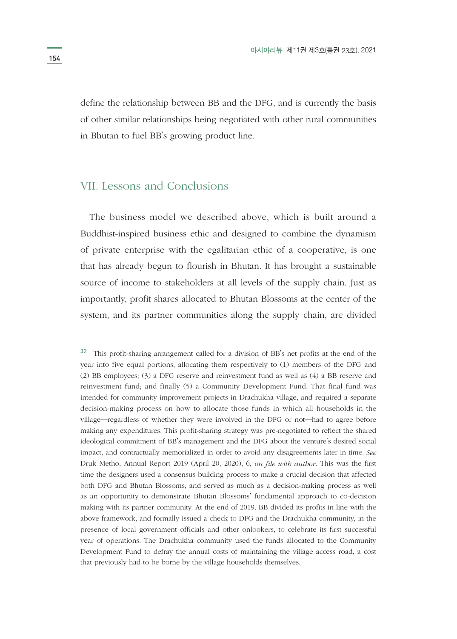define the relationship between BB and the DFG, and is currently the basis of other similar relationships being negotiated with other rural communities in Bhutan to fuel BB's growing product line.

# VII. Lessons and Conclusions

The business model we described above, which is built around a Buddhist-inspired business ethic and designed to combine the dynamism of private enterprise with the egalitarian ethic of a cooperative, is one that has already begun to flourish in Bhutan. It has brought a sustainable source of income to stakeholders at all levels of the supply chain. Just as importantly, profit shares allocated to Bhutan Blossoms at the center of the system, and its partner communities along the supply chain, are divided

<sup>32</sup> This profit-sharing arrangement called for a division of BB's net profits at the end of the year into five equal portions, allocating them respectively to (1) members of the DFG and (2) BB employees; (3) a DFG reserve and reinvestment fund as well as (4) a BB reserve and reinvestment fund; and finally (5) a Community Development Fund. That final fund was intended for community improvement projects in Drachukha village, and required a separate decision-making process on how to allocate those funds in which all households in the village―regardless of whether they were involved in the DFG or not―had to agree before making any expenditures. This profit-sharing strategy was pre-negotiated to reflect the shared ideological commitment of BB's management and the DFG about the venture's desired social impact, and contractually memorialized in order to avoid any disagreements later in time. *See*  Druk Metho, Annual Report 2019 (April 20, 2020), 6, *on file with author*. This was the first time the designers used a consensus building process to make a crucial decision that affected both DFG and Bhutan Blossoms, and served as much as a decision-making process as well as an opportunity to demonstrate Bhutan Blossoms' fundamental approach to co-decision making with its partner community. At the end of 2019, BB divided its profits in line with the above framework, and formally issued a check to DFG and the Drachukha community, in the presence of local government officials and other onlookers, to celebrate its first successful year of operations. The Drachukha community used the funds allocated to the Community Development Fund to defray the annual costs of maintaining the village access road, a cost that previously had to be borne by the village households themselves.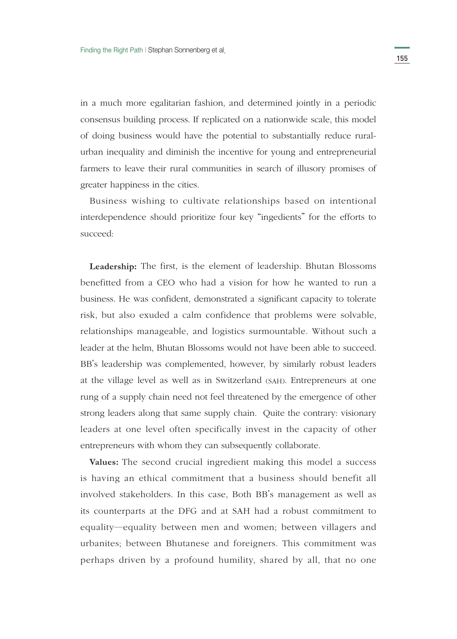in a much more egalitarian fashion, and determined jointly in a periodic consensus building process. If replicated on a nationwide scale, this model of doing business would have the potential to substantially reduce ruralurban inequality and diminish the incentive for young and entrepreneurial farmers to leave their rural communities in search of illusory promises of greater happiness in the cities.

Business wishing to cultivate relationships based on intentional interdependence should prioritize four key "ingedients" for the efforts to succeed:

**Leadership:** The first, is the element of leadership. Bhutan Blossoms benefitted from a CEO who had a vision for how he wanted to run a business. He was confident, demonstrated a significant capacity to tolerate risk, but also exuded a calm confidence that problems were solvable, relationships manageable, and logistics surmountable. Without such a leader at the helm, Bhutan Blossoms would not have been able to succeed. BB's leadership was complemented, however, by similarly robust leaders at the village level as well as in Switzerland (SAH). Entrepreneurs at one rung of a supply chain need not feel threatened by the emergence of other strong leaders along that same supply chain. Quite the contrary: visionary leaders at one level often specifically invest in the capacity of other entrepreneurs with whom they can subsequently collaborate.

**Values:** The second crucial ingredient making this model a success is having an ethical commitment that a business should benefit all involved stakeholders. In this case, Both BB's management as well as its counterparts at the DFG and at SAH had a robust commitment to equality―equality between men and women; between villagers and urbanites; between Bhutanese and foreigners. This commitment was perhaps driven by a profound humility, shared by all, that no one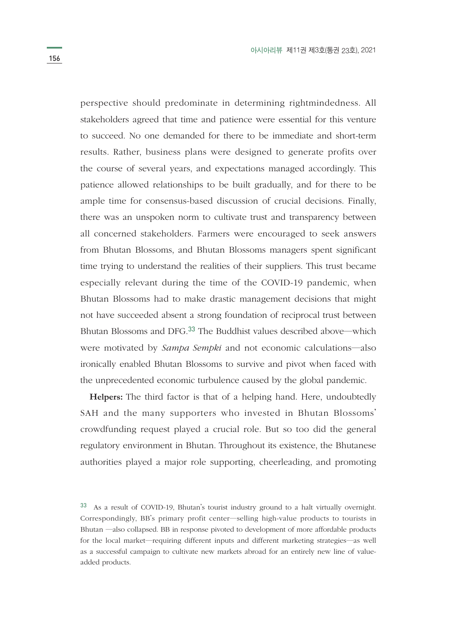perspective should predominate in determining rightmindedness. All stakeholders agreed that time and patience were essential for this venture to succeed. No one demanded for there to be immediate and short-term results. Rather, business plans were designed to generate profits over the course of several years, and expectations managed accordingly. This patience allowed relationships to be built gradually, and for there to be ample time for consensus-based discussion of crucial decisions. Finally, there was an unspoken norm to cultivate trust and transparency between all concerned stakeholders. Farmers were encouraged to seek answers from Bhutan Blossoms, and Bhutan Blossoms managers spent significant time trying to understand the realities of their suppliers. This trust became especially relevant during the time of the COVID-19 pandemic, when Bhutan Blossoms had to make drastic management decisions that might not have succeeded absent a strong foundation of reciprocal trust between Bhutan Blossoms and DFG.33 The Buddhist values described above―which were motivated by *Sampa Sempki* and not economic calculations―also ironically enabled Bhutan Blossoms to survive and pivot when faced with the unprecedented economic turbulence caused by the global pandemic.

**Helpers:** The third factor is that of a helping hand. Here, undoubtedly SAH and the many supporters who invested in Bhutan Blossoms' crowdfunding request played a crucial role. But so too did the general regulatory environment in Bhutan. Throughout its existence, the Bhutanese authorities played a major role supporting, cheerleading, and promoting

<sup>33</sup> As a result of COVID-19, Bhutan's tourist industry ground to a halt virtually overnight. Correspondingly, BB's primary profit center―selling high-value products to tourists in Bhutan ―also collapsed. BB in response pivoted to development of more affordable products for the local market―requiring different inputs and different marketing strategies―as well as a successful campaign to cultivate new markets abroad for an entirely new line of valueadded products.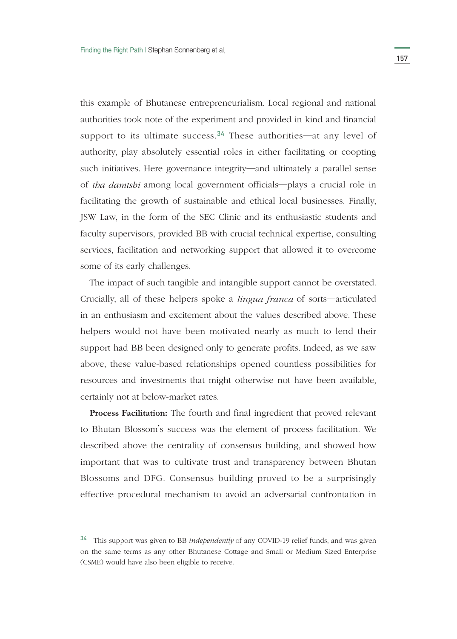this example of Bhutanese entrepreneurialism. Local regional and national authorities took note of the experiment and provided in kind and financial support to its ultimate success.<sup>34</sup> These authorities—at any level of authority, play absolutely essential roles in either facilitating or coopting such initiatives. Here governance integrity―and ultimately a parallel sense of *tha damtshi* among local government officials―plays a crucial role in facilitating the growth of sustainable and ethical local businesses. Finally, JSW Law, in the form of the SEC Clinic and its enthusiastic students and faculty supervisors, provided BB with crucial technical expertise, consulting services, facilitation and networking support that allowed it to overcome some of its early challenges.

The impact of such tangible and intangible support cannot be overstated. Crucially, all of these helpers spoke a *lingua franca* of sorts―articulated in an enthusiasm and excitement about the values described above. These helpers would not have been motivated nearly as much to lend their support had BB been designed only to generate profits. Indeed, as we saw above, these value-based relationships opened countless possibilities for resources and investments that might otherwise not have been available, certainly not at below-market rates.

**Process Facilitation:** The fourth and final ingredient that proved relevant to Bhutan Blossom's success was the element of process facilitation. We described above the centrality of consensus building, and showed how important that was to cultivate trust and transparency between Bhutan Blossoms and DFG. Consensus building proved to be a surprisingly effective procedural mechanism to avoid an adversarial confrontation in

<sup>34</sup> This support was given to BB *independently* of any COVID-19 relief funds, and was given on the same terms as any other Bhutanese Cottage and Small or Medium Sized Enterprise (CSME) would have also been eligible to receive.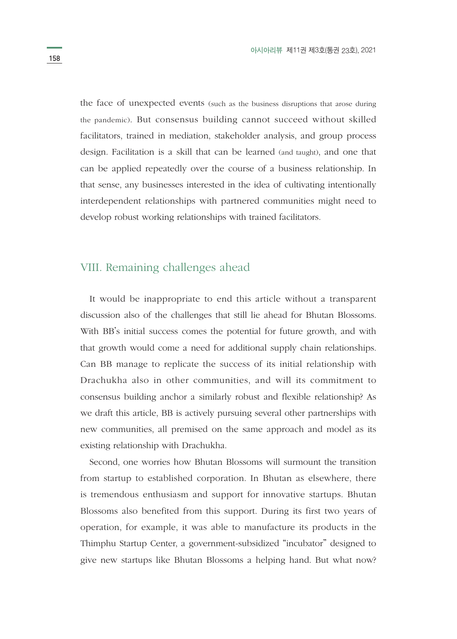the face of unexpected events (such as the business disruptions that arose during the pandemic). But consensus building cannot succeed without skilled facilitators, trained in mediation, stakeholder analysis, and group process design. Facilitation is a skill that can be learned (and taught), and one that can be applied repeatedly over the course of a business relationship. In that sense, any businesses interested in the idea of cultivating intentionally interdependent relationships with partnered communities might need to develop robust working relationships with trained facilitators.

# VIII. Remaining challenges ahead

It would be inappropriate to end this article without a transparent discussion also of the challenges that still lie ahead for Bhutan Blossoms. With BB's initial success comes the potential for future growth, and with that growth would come a need for additional supply chain relationships. Can BB manage to replicate the success of its initial relationship with Drachukha also in other communities, and will its commitment to consensus building anchor a similarly robust and flexible relationship? As we draft this article, BB is actively pursuing several other partnerships with new communities, all premised on the same approach and model as its existing relationship with Drachukha.

Second, one worries how Bhutan Blossoms will surmount the transition from startup to established corporation. In Bhutan as elsewhere, there is tremendous enthusiasm and support for innovative startups. Bhutan Blossoms also benefited from this support. During its first two years of operation, for example, it was able to manufacture its products in the Thimphu Startup Center, a government-subsidized "incubator" designed to give new startups like Bhutan Blossoms a helping hand. But what now?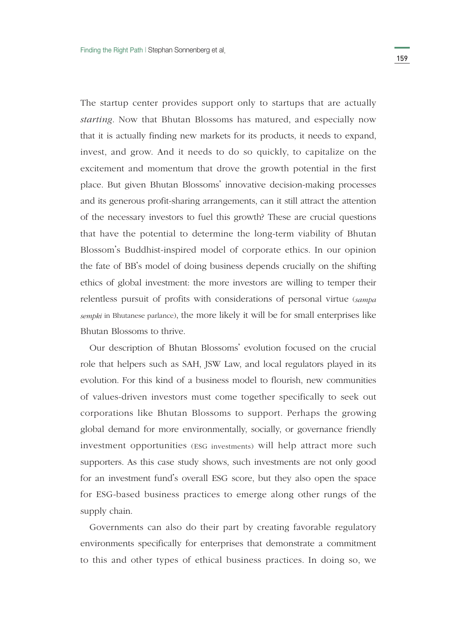The startup center provides support only to startups that are actually *starting*. Now that Bhutan Blossoms has matured, and especially now that it is actually finding new markets for its products, it needs to expand, invest, and grow. And it needs to do so quickly, to capitalize on the excitement and momentum that drove the growth potential in the first place. But given Bhutan Blossoms' innovative decision-making processes and its generous profit-sharing arrangements, can it still attract the attention of the necessary investors to fuel this growth? These are crucial questions that have the potential to determine the long-term viability of Bhutan Blossom's Buddhist-inspired model of corporate ethics. In our opinion the fate of BB's model of doing business depends crucially on the shifting ethics of global investment: the more investors are willing to temper their relentless pursuit of profits with considerations of personal virtue (*sampa sempki* in Bhutanese parlance), the more likely it will be for small enterprises like Bhutan Blossoms to thrive.

Our description of Bhutan Blossoms' evolution focused on the crucial role that helpers such as SAH, JSW Law, and local regulators played in its evolution. For this kind of a business model to flourish, new communities of values-driven investors must come together specifically to seek out corporations like Bhutan Blossoms to support. Perhaps the growing global demand for more environmentally, socially, or governance friendly investment opportunities (ESG investments) will help attract more such supporters. As this case study shows, such investments are not only good for an investment fund's overall ESG score, but they also open the space for ESG-based business practices to emerge along other rungs of the supply chain.

Governments can also do their part by creating favorable regulatory environments specifically for enterprises that demonstrate a commitment to this and other types of ethical business practices. In doing so, we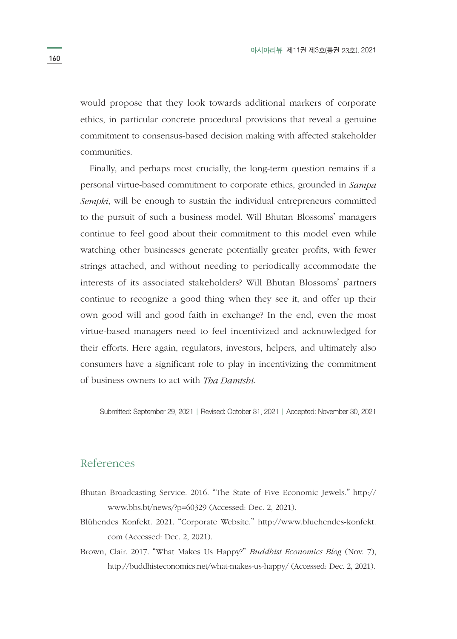would propose that they look towards additional markers of corporate ethics, in particular concrete procedural provisions that reveal a genuine commitment to consensus-based decision making with affected stakeholder communities.

Finally, and perhaps most crucially, the long-term question remains if a personal virtue-based commitment to corporate ethics, grounded in *Sampa Sempki*, will be enough to sustain the individual entrepreneurs committed to the pursuit of such a business model. Will Bhutan Blossoms' managers continue to feel good about their commitment to this model even while watching other businesses generate potentially greater profits, with fewer strings attached, and without needing to periodically accommodate the interests of its associated stakeholders? Will Bhutan Blossoms' partners continue to recognize a good thing when they see it, and offer up their own good will and good faith in exchange? In the end, even the most virtue-based managers need to feel incentivized and acknowledged for their efforts. Here again, regulators, investors, helpers, and ultimately also consumers have a significant role to play in incentivizing the commitment of business owners to act with *Tha Damtshi*.

Submitted: September 29, 2021 | Revised: October 31, 2021 | Accepted: November 30, 2021

### References

- Bhutan Broadcasting Service. 2016. "The State of Five Economic Jewels." http:// www.bbs.bt/news/?p=60329 (Accessed: Dec. 2, 2021).
- Blühendes Konfekt. 2021. "Corporate Website." http://www.bluehendes-konfekt. com (Accessed: Dec. 2, 2021).
- Brown, Clair. 2017. "What Makes Us Happy?" *Buddhist Economics Blog* (Nov. 7), http://buddhisteconomics.net/what-makes-us-happy/ (Accessed: Dec. 2, 2021).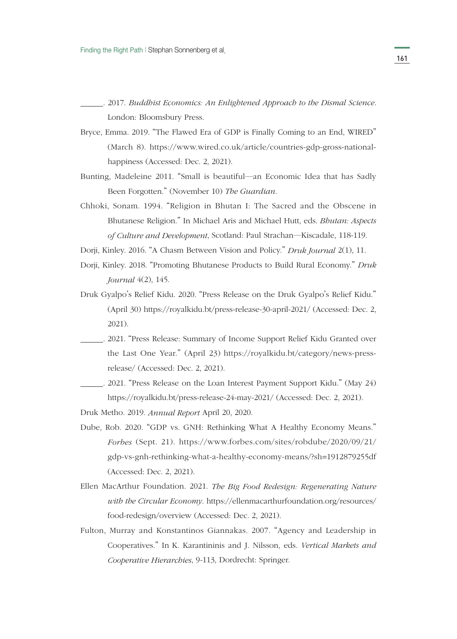. 2017. *Buddhist Economics: An Enlightened Approach to the Dismal Science*. London: Bloomsbury Press.

- Bryce, Emma. 2019. "The Flawed Era of GDP is Finally Coming to an End, WIRED" (March 8). https://www.wired.co.uk/article/countries-gdp-gross-nationalhappiness (Accessed: Dec. 2, 2021).
- Bunting, Madeleine 2011. "Small is beautiful―an Economic Idea that has Sadly Been Forgotten." (November 10) *The Guardian*.
- Chhoki, Sonam. 1994. "Religion in Bhutan I: The Sacred and the Obscene in Bhutanese Religion." In Michael Aris and Michael Hutt, eds. *Bhutan: Aspects of Culture and Development*, Scotland: Paul Strachan―Kiscadale, 118-119.
- Dorji, Kinley. 2016. "A Chasm Between Vision and Policy." *Druk Journal* 2(1), 11.
- Dorji, Kinley. 2018. "Promoting Bhutanese Products to Build Rural Economy." *Druk Journal* 4(2), 145.
- Druk Gyalpo's Relief Kidu. 2020. "Press Release on the Druk Gyalpo's Relief Kidu." (April 30) https://royalkidu.bt/press-release-30-april-2021/ (Accessed: Dec. 2, 2021).
- . 2021. "Press Release: Summary of Income Support Relief Kidu Granted over the Last One Year." (April 23) https://royalkidu.bt/category/news-pressrelease/ (Accessed: Dec. 2, 2021).
- . 2021. "Press Release on the Loan Interest Payment Support Kidu." (May 24) https://royalkidu.bt/press-release-24-may-2021/ (Accessed: Dec. 2, 2021).
- Druk Metho. 2019. *Annual Report* April 20, 2020.
- Dube, Rob. 2020. "GDP vs. GNH: Rethinking What A Healthy Economy Means." *Forbes* (Sept. 21). https://www.forbes.com/sites/robdube/2020/09/21/ gdp-vs-gnh-rethinking-what-a-healthy-economy-means/?sh=1912879255df (Accessed: Dec. 2, 2021).
- Ellen MacArthur Foundation. 2021. *The Big Food Redesign: Regenerating Nature with the Circular Economy*. https://ellenmacarthurfoundation.org/resources/ food-redesign/overview (Accessed: Dec. 2, 2021).
- Fulton, Murray and Konstantinos Giannakas. 2007. "Agency and Leadership in Cooperatives." In K. Karantininis and J. Nilsson, eds. *Vertical Markets and Cooperative Hierarchies*, 9-113, Dordrecht: Springer.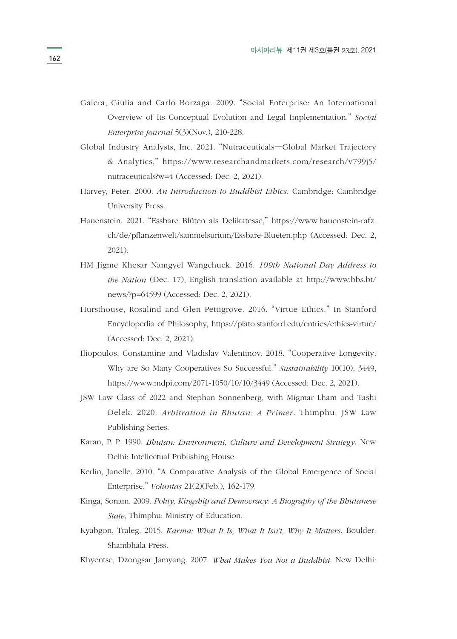- Galera, Giulia and Carlo Borzaga. 2009. "Social Enterprise: An International Overview of Its Conceptual Evolution and Legal Implementation." *Social Enterprise Journal* 5(3)(Nov.), 210-228.
- Global Industry Analysts, Inc. 2021. "Nutraceuticals—Global Market Trajectory & Analytics," https://www.researchandmarkets.com/research/v799j5/ nutraceuticals?w=4 (Accessed: Dec. 2, 2021).
- Harvey, Peter. 2000. *An Introduction to Buddhist Ethics*. Cambridge: Cambridge University Press.
- Hauenstein. 2021. "Essbare Blüten als Delikatesse," https://www.hauenstein-rafz. ch/de/pflanzenwelt/sammelsurium/Essbare-Blueten.php (Accessed: Dec. 2, 2021).
- HM Jigme Khesar Namgyel Wangchuck. 2016. *109th National Day Address to the Nation* (Dec. 17), English translation available at http://www.bbs.bt/ news/?p=64599 (Accessed: Dec. 2, 2021).
- Hursthouse, Rosalind and Glen Pettigrove. 2016. "Virtue Ethics." In Stanford Encyclopedia of Philosophy, https://plato.stanford.edu/entries/ethics-virtue/ (Accessed: Dec. 2, 2021).
- Iliopoulos, Constantine and Vladislav Valentinov. 2018. "Cooperative Longevity: Why are So Many Cooperatives So Successful." *Sustainability* 10(10), 3449, https://www.mdpi.com/2071-1050/10/10/3449 (Accessed: Dec. 2, 2021).
- JSW Law Class of 2022 and Stephan Sonnenberg, with Migmar Lham and Tashi Delek. 2020. *Arbitration in Bhutan: A Primer*. Thimphu: JSW Law Publishing Series.
- Karan, P. P. 1990. *Bhutan: Environment, Culture and Development Strategy*. New Delhi: Intellectual Publishing House.
- Kerlin, Janelle. 2010. "A Comparative Analysis of the Global Emergence of Social Enterprise." *Voluntas* 21(2)(Feb.), 162-179.
- Kinga, Sonam. 2009. *Polity, Kingship and Democracy: A Biography of the Bhutanese State*, Thimphu: Ministry of Education.
- Kyabgon, Traleg. 2015. *Karma: What It Is, What It Isn't, Why It Matters*. Boulder: Shambhala Press.
- Khyentse, Dzongsar Jamyang. 2007. *What Makes You Not a Buddhist*. New Delhi: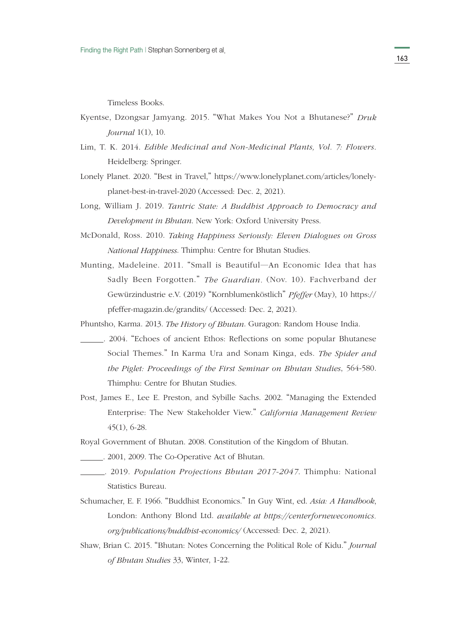Timeless Books.

- Kyentse, Dzongsar Jamyang. 2015. "What Makes You Not a Bhutanese?" *Druk Journal* 1(1), 10.
- Lim, T. K. 2014. *Edible Medicinal and Non-Medicinal Plants, Vol. 7: Flowers*. Heidelberg: Springer.
- Lonely Planet. 2020. "Best in Travel," https://www.lonelyplanet.com/articles/lonelyplanet-best-in-travel-2020 (Accessed: Dec. 2, 2021).
- Long, William J. 2019. *Tantric State: A Buddhist Approach to Democracy and Development in Bhutan*. New York: Oxford University Press.
- McDonald, Ross. 2010. *Taking Happiness Seriously: Eleven Dialogues on Gross National Happiness*. Thimphu: Centre for Bhutan Studies.
- Munting, Madeleine. 2011. "Small is Beautiful―An Economic Idea that has Sadly Been Forgotten." *The Guardian.* (Nov. 10). Fachverband der Gewürzindustrie e.V. (2019) "Kornblumenköstlich" *Pfeffer* (May), 10 https:// pfeffer-magazin.de/grandits/ (Accessed: Dec. 2, 2021).

Phuntsho, Karma. 2013. *The History of Bhutan*. Guragon: Random House India.

- . 2004. "Echoes of ancient Ethos: Reflections on some popular Bhutanese Social Themes." In Karma Ura and Sonam Kinga, eds. *The Spider and the Piglet: Proceedings of the First Seminar on Bhutan Studies*, 564-580. Thimphu: Centre for Bhutan Studies.
- Post, James E., Lee E. Preston, and Sybille Sachs. 2002. "Managing the Extended Enterprise: The New Stakeholder View." *California Management Review* 45(1), 6-28.
- Royal Government of Bhutan. 2008. Constitution of the Kingdom of Bhutan.

. 2001, 2009. The Co-Operative Act of Bhutan.

- . 2019. *Population Projections Bhutan 2017-2047*. Thimphu: National Statistics Bureau.
- Schumacher, E. F. 1966. "Buddhist Economics." In Guy Wint, ed. *Asia: A Handbook*, London: Anthony Blond Ltd. *available at https://centerforneweconomics. org/publications/buddhist-economics/* (Accessed: Dec. 2, 2021).
- Shaw, Brian C. 2015. "Bhutan: Notes Concerning the Political Role of Kidu." *Journal of Bhutan Studies* 33, Winter, 1-22.